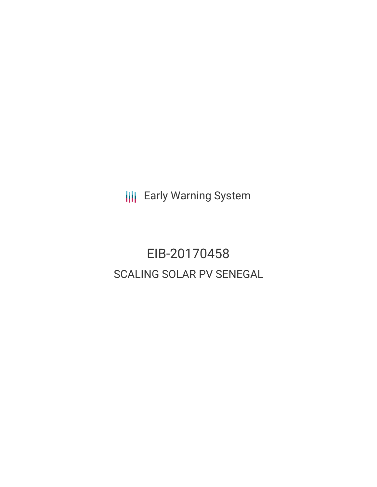**III** Early Warning System

# EIB-20170458 SCALING SOLAR PV SENEGAL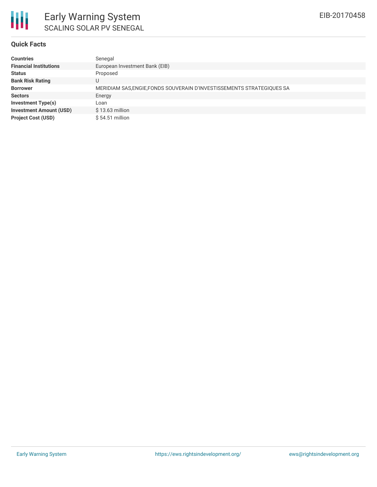

#### **Quick Facts**

| <b>Countries</b>               | Senegal                                                                |
|--------------------------------|------------------------------------------------------------------------|
| <b>Financial Institutions</b>  | European Investment Bank (EIB)                                         |
| <b>Status</b>                  | Proposed                                                               |
| <b>Bank Risk Rating</b>        | U                                                                      |
| <b>Borrower</b>                | MERIDIAM SAS, ENGIE, FONDS SOUVERAIN D'INVESTISSEMENTS STRATEGIQUES SA |
| <b>Sectors</b>                 | Energy                                                                 |
| <b>Investment Type(s)</b>      | Loan                                                                   |
| <b>Investment Amount (USD)</b> | $$13.63$ million                                                       |
| <b>Project Cost (USD)</b>      | $$54.51$ million                                                       |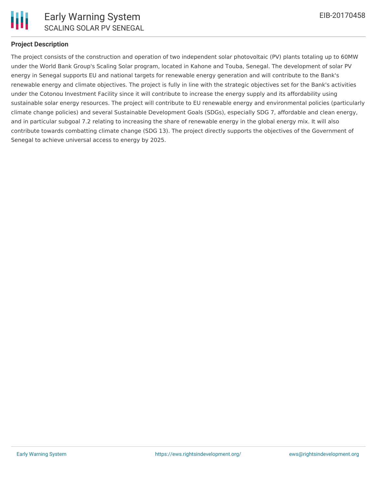

## **Project Description**

The project consists of the construction and operation of two independent solar photovoltaic (PV) plants totaling up to 60MW under the World Bank Group's Scaling Solar program, located in Kahone and Touba, Senegal. The development of solar PV energy in Senegal supports EU and national targets for renewable energy generation and will contribute to the Bank's renewable energy and climate objectives. The project is fully in line with the strategic objectives set for the Bank's activities under the Cotonou Investment Facility since it will contribute to increase the energy supply and its affordability using sustainable solar energy resources. The project will contribute to EU renewable energy and environmental policies (particularly climate change policies) and several Sustainable Development Goals (SDGs), especially SDG 7, affordable and clean energy, and in particular subgoal 7.2 relating to increasing the share of renewable energy in the global energy mix. It will also contribute towards combatting climate change (SDG 13). The project directly supports the objectives of the Government of Senegal to achieve universal access to energy by 2025.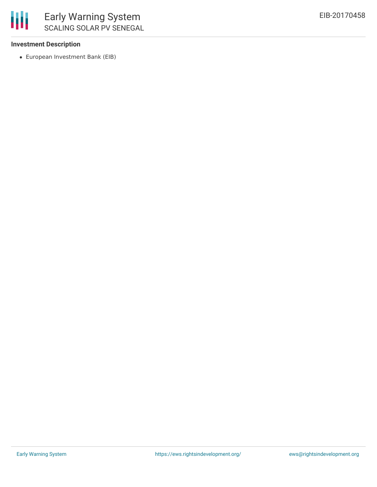

## **Investment Description**

European Investment Bank (EIB)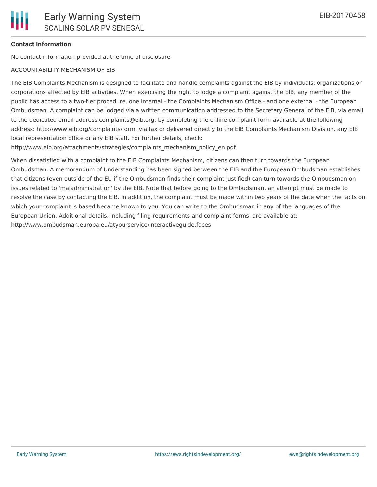# **Contact Information**

No contact information provided at the time of disclosure

#### ACCOUNTABILITY MECHANISM OF EIB

The EIB Complaints Mechanism is designed to facilitate and handle complaints against the EIB by individuals, organizations or corporations affected by EIB activities. When exercising the right to lodge a complaint against the EIB, any member of the public has access to a two-tier procedure, one internal - the Complaints Mechanism Office - and one external - the European Ombudsman. A complaint can be lodged via a written communication addressed to the Secretary General of the EIB, via email to the dedicated email address complaints@eib.org, by completing the online complaint form available at the following address: http://www.eib.org/complaints/form, via fax or delivered directly to the EIB Complaints Mechanism Division, any EIB local representation office or any EIB staff. For further details, check:

http://www.eib.org/attachments/strategies/complaints\_mechanism\_policy\_en.pdf

When dissatisfied with a complaint to the EIB Complaints Mechanism, citizens can then turn towards the European Ombudsman. A memorandum of Understanding has been signed between the EIB and the European Ombudsman establishes that citizens (even outside of the EU if the Ombudsman finds their complaint justified) can turn towards the Ombudsman on issues related to 'maladministration' by the EIB. Note that before going to the Ombudsman, an attempt must be made to resolve the case by contacting the EIB. In addition, the complaint must be made within two years of the date when the facts on which your complaint is based became known to you. You can write to the Ombudsman in any of the languages of the European Union. Additional details, including filing requirements and complaint forms, are available at: http://www.ombudsman.europa.eu/atyourservice/interactiveguide.faces